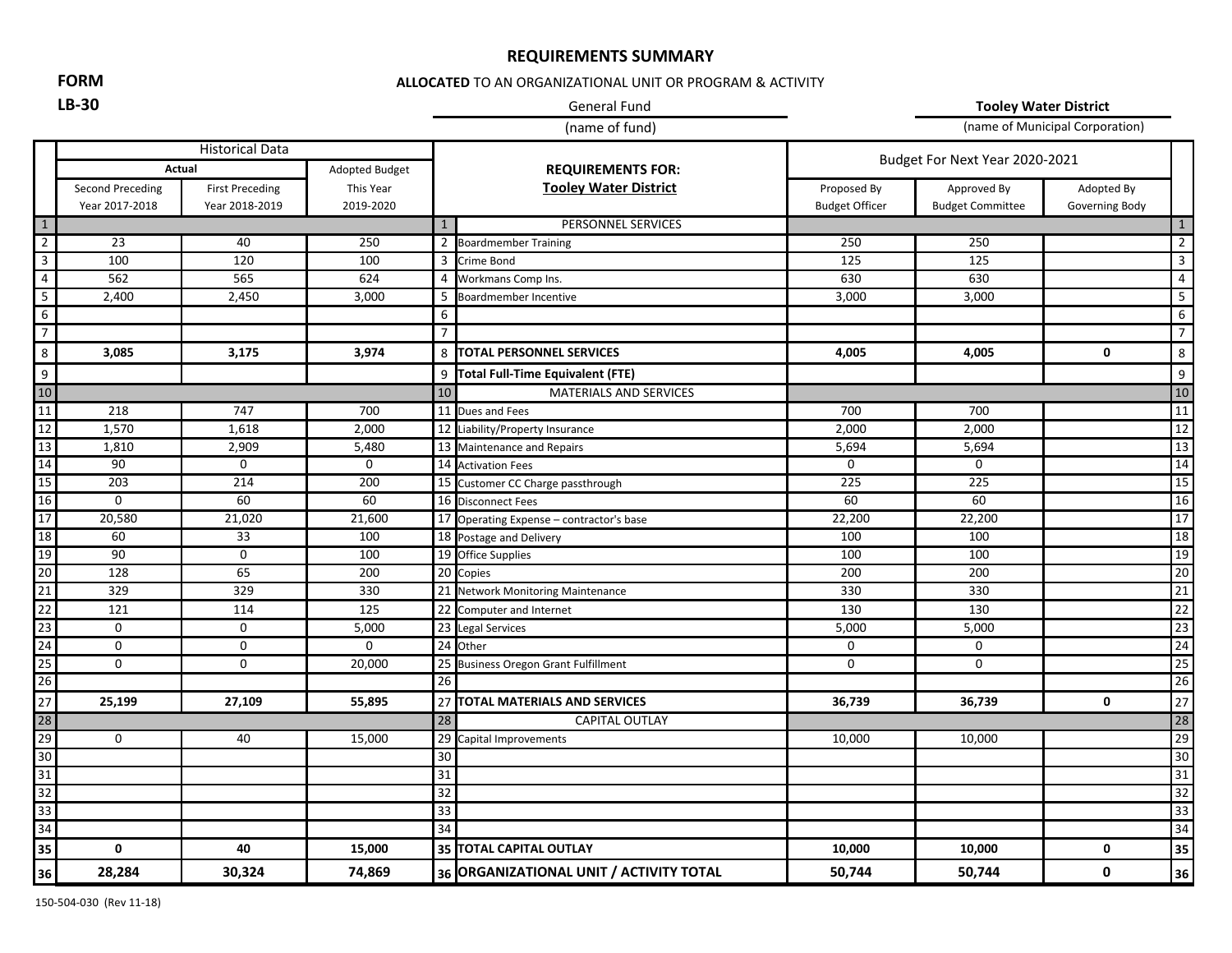### **REQUIREMENTS SUMMARY**

**FORM**

#### **ALLOCATED** TO AN ORGANIZATIONAL UNIT OR PROGRAM & ACTIVITY

# **LB-30** General Fund

**Tooley Water District**

|                                                                                                                                                                                         |                        |                        |                | (name of fund)  |                                          |                                | (name of Municipal Corporation) |                |                 |
|-----------------------------------------------------------------------------------------------------------------------------------------------------------------------------------------|------------------------|------------------------|----------------|-----------------|------------------------------------------|--------------------------------|---------------------------------|----------------|-----------------|
|                                                                                                                                                                                         | <b>Historical Data</b> |                        |                |                 |                                          | Budget For Next Year 2020-2021 |                                 |                |                 |
|                                                                                                                                                                                         | Actual                 |                        | Adopted Budget |                 | <b>REQUIREMENTS FOR:</b>                 |                                |                                 |                |                 |
|                                                                                                                                                                                         | Second Preceding       | <b>First Preceding</b> | This Year      |                 | <b>Tooley Water District</b>             | Proposed By                    | Approved By                     | Adopted By     |                 |
|                                                                                                                                                                                         | Year 2017-2018         | Year 2018-2019         | 2019-2020      |                 |                                          | <b>Budget Officer</b>          | <b>Budget Committee</b>         | Governing Body |                 |
| $1\,$                                                                                                                                                                                   |                        |                        |                | $\mathbf{1}$    | PERSONNEL SERVICES                       |                                |                                 |                | 1               |
|                                                                                                                                                                                         | 23                     | 40                     | 250            |                 | 2 Boardmember Training                   | 250                            | 250                             |                | $\overline{2}$  |
| $\frac{2}{3}$ $\frac{4}{6}$ $\frac{5}{7}$                                                                                                                                               | 100                    | 120                    | 100            |                 | 3 Crime Bond                             | 125                            | 125                             |                |                 |
|                                                                                                                                                                                         | 562                    | 565                    | 624            |                 | 4 Workmans Comp Ins.                     | 630                            | 630                             |                | $\overline{4}$  |
|                                                                                                                                                                                         | 2,400                  | 2,450                  | 3,000          | 5               | Boardmember Incentive                    | 3,000                          | 3,000                           |                | 5               |
|                                                                                                                                                                                         |                        |                        |                | 6               |                                          |                                |                                 |                | 6               |
|                                                                                                                                                                                         |                        |                        |                | $\overline{7}$  |                                          |                                |                                 |                | $\overline{7}$  |
| $\frac{8}{1}$                                                                                                                                                                           | 3,085                  | 3,175                  | 3,974          |                 | 8 TOTAL PERSONNEL SERVICES               | 4,005                          | 4,005                           | $\mathbf 0$    | 8               |
| $\frac{9}{10}$                                                                                                                                                                          |                        |                        |                |                 | 9 Total Full-Time Equivalent (FTE)       |                                |                                 |                | 9               |
|                                                                                                                                                                                         |                        |                        |                | 10              | <b>MATERIALS AND SERVICES</b>            |                                |                                 |                | 10              |
|                                                                                                                                                                                         | 218                    | 747                    | 700            |                 | 11 Dues and Fees                         | 700                            | 700                             |                | 11              |
|                                                                                                                                                                                         | 1,570                  | 1,618                  | 2,000          |                 | 12 Liability/Property Insurance          | 2,000                          | 2,000                           |                | 12              |
|                                                                                                                                                                                         | 1,810                  | 2,909                  | 5,480          |                 | 13 Maintenance and Repairs               | 5,694                          | 5,694                           |                | $\overline{13}$ |
|                                                                                                                                                                                         | 90                     | $\mathbf 0$            | $\mathbf 0$    |                 | 14 Activation Fees                       | 0                              | $\mathbf 0$                     |                | 14              |
|                                                                                                                                                                                         | 203                    | 214                    | 200            |                 | 15 Customer CC Charge passthrough        | 225                            | 225                             |                | 15              |
|                                                                                                                                                                                         | 0                      | 60                     | 60             |                 | 16 Disconnect Fees                       | 60                             | 60                              |                | 16              |
|                                                                                                                                                                                         | 20,580                 | 21,020                 | 21,600         |                 | 17 Operating Expense - contractor's base | 22,200                         | 22,200                          |                | $\overline{17}$ |
|                                                                                                                                                                                         | 60                     | 33                     | 100            |                 | 18 Postage and Delivery                  | 100                            | 100                             |                | 18              |
|                                                                                                                                                                                         | 90                     | $\mathbf 0$            | 100            |                 | $\overline{19}$ Office Supplies          | 100                            | 100                             |                | 19              |
|                                                                                                                                                                                         | 128                    | 65                     | 200            |                 | 20 Copies                                | 200                            | 200                             |                | 20              |
|                                                                                                                                                                                         | 329                    | 329                    | 330            |                 | 21 Network Monitoring Maintenance        | 330                            | 330                             |                | 21              |
|                                                                                                                                                                                         | 121                    | 114                    | 125            |                 | 22 Computer and Internet                 | 130                            | 130                             |                | 22              |
|                                                                                                                                                                                         | 0                      | $\mathbf 0$            | 5,000          |                 | 23 Legal Services                        | 5,000                          | 5,000                           |                | $\overline{23}$ |
|                                                                                                                                                                                         | $\mathbf 0$            | $\mathbf 0$            | $\mathbf 0$    |                 | 24 Other                                 | 0                              | 0                               |                | 24              |
|                                                                                                                                                                                         | $\mathbf 0$            | $\mathbf 0$            | 20,000         |                 | 25 Business Oregon Grant Fulfillment     | $\mathbf 0$                    | $\mathbf 0$                     |                | $\overline{25}$ |
|                                                                                                                                                                                         |                        |                        |                | 26              |                                          |                                |                                 |                | 26              |
| $\frac{11}{12} \frac{13}{13} \frac{14}{15} \frac{16}{17} \frac{17}{18} \frac{19}{19} \frac{19}{20} \frac{12}{20} \frac{12}{20} \frac{12}{20} \frac{14}{20} \frac{15}{20} \frac{16}{27}$ | 25,199                 | 27,109                 | 55,895         |                 | 27 TOTAL MATERIALS AND SERVICES          | 36,739                         | 36,739                          | $\mathbf 0$    | 27              |
|                                                                                                                                                                                         |                        |                        |                | 28              | <b>CAPITAL OUTLAY</b>                    |                                |                                 |                | 28              |
|                                                                                                                                                                                         | 0                      | 40                     | 15,000         |                 | 29 Capital Improvements                  | 10,000                         | 10,000                          |                | 29              |
|                                                                                                                                                                                         |                        |                        |                | 30              |                                          |                                |                                 |                | $\overline{30}$ |
|                                                                                                                                                                                         |                        |                        |                | $\overline{31}$ |                                          |                                |                                 |                | 31              |
|                                                                                                                                                                                         |                        |                        |                | 32              |                                          |                                |                                 |                | 32              |
|                                                                                                                                                                                         |                        |                        |                | $\overline{33}$ |                                          |                                |                                 |                | 33              |
| $\frac{28}{29}$ $\frac{29}{30}$ $\frac{31}{32}$ $\frac{32}{33}$ $\frac{33}{34}$                                                                                                         |                        |                        |                | 34              |                                          |                                |                                 |                | 34              |
| 35                                                                                                                                                                                      | 0                      | 40                     | 15,000         |                 | 35 TOTAL CAPITAL OUTLAY                  | 10,000                         | 10,000                          | $\mathbf 0$    | 35              |
| 36                                                                                                                                                                                      | 28,284                 | 30,324                 | 74,869         |                 | 36 ORGANIZATIONAL UNIT / ACTIVITY TOTAL  | 50,744                         | 50,744                          | 0              | 36              |